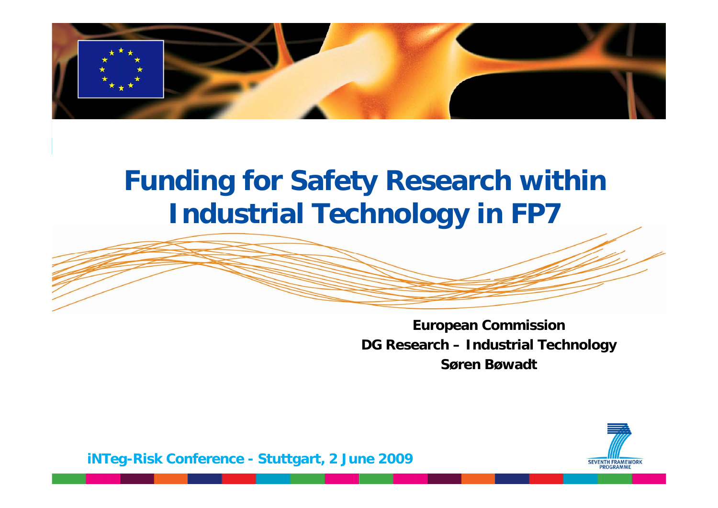

# **Funding for Safety Research within Industrial Technolo gy in FP7**



**European Commission DG Research – Industrial Technology Søren Bøwadt**

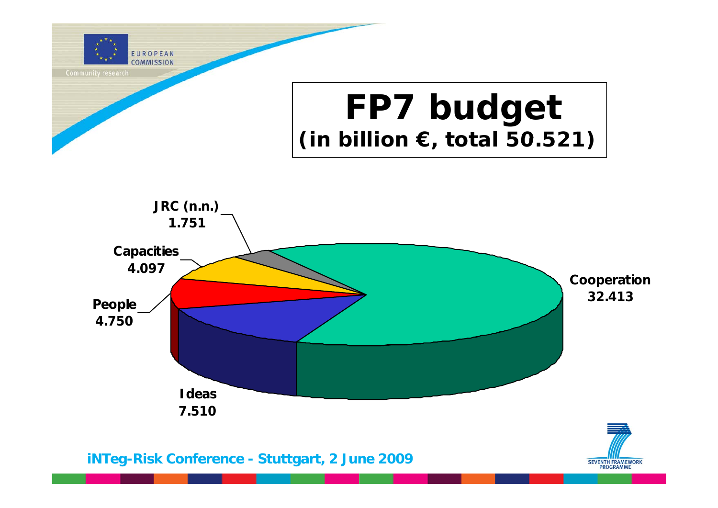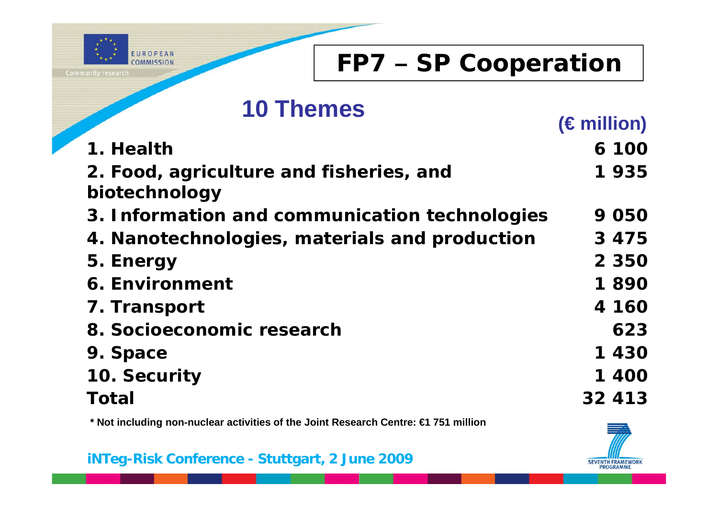

### **FP7 – SP Cooperation**

#### **10 Themes**

|                                               | (Emilion) |
|-----------------------------------------------|-----------|
| 1. Health                                     | 6 100     |
| 2. Food, agriculture and fisheries, and       | 1935      |
| biotechnology                                 |           |
| 3. Information and communication technologies | 9050      |
| 4. Nanotechnologies, materials and production | 3 4 7 5   |
| 5. Energy                                     | 2 3 5 0   |
| <b>6. Environment</b>                         | 1890      |
| 7. Transport                                  | 4 160     |
| 8. Socioeconomic research                     | 623       |
| 9. Space                                      | 1430      |
| 10. Security                                  | 1 400     |
| Total                                         | 32 413    |

**\* Not including non-nuclear activities of the Joint Research Centre: €1 751 million g**

**iNTeg-Risk Conference - Stuttgart, 2 June 2009**



**(€ million)**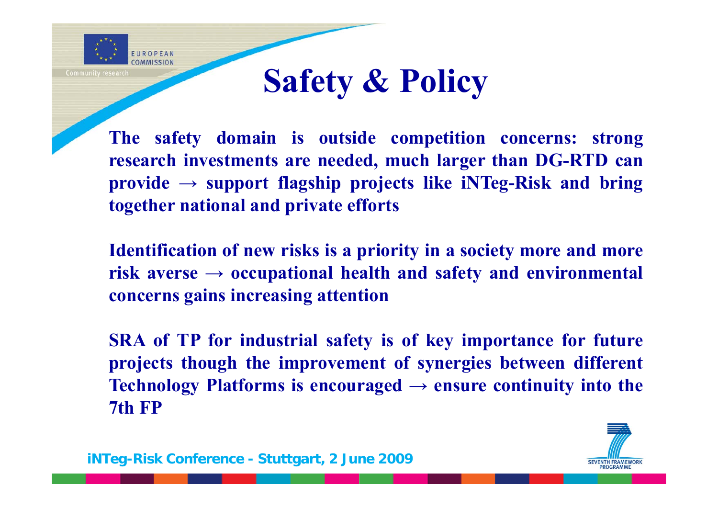

# **Safety & Policy**

**The safety domain is outside competition concerns: strong research investments are needed, much larger than DG-RTD can provide <sup>→</sup> support flagship projects like iNTeg-Risk and bring together national and private efforts**

**Identification of new risks is <sup>a</sup> priority in <sup>a</sup> society more and more risk averse → occupational health and safety and environmental concerns gains increasing attention**

**SRA of TP for industrial safety is of key importance for future projects though the improvement of synergies between different Technology** Platforms is encouraged  $\rightarrow$  ensure continuity into the **7th FP**

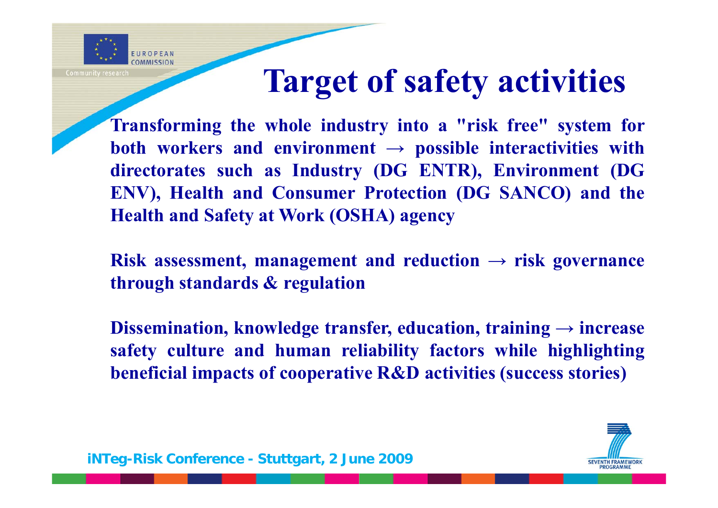

# **Target of safety activities**

**Transforming the whole industry into <sup>a</sup> "risk free" system for both workers and environment → possible interactivities with directorates such as Industry (DG ENTR), Environment (DG ENV), Health and Consumer Protection (DG SANCO) and the Health and Safety at Work (OSHA) agency**

**Risk assessment, management** and **reduction**  $\rightarrow$  **risk** governance **through standards & regulation**

**Dissemination, knowledge transfer, education, training <sup>→</sup> increase safety culture and human reliability factors while highlighting** beneficial impacts of cooperative  $R\&D$  activities (success stories)

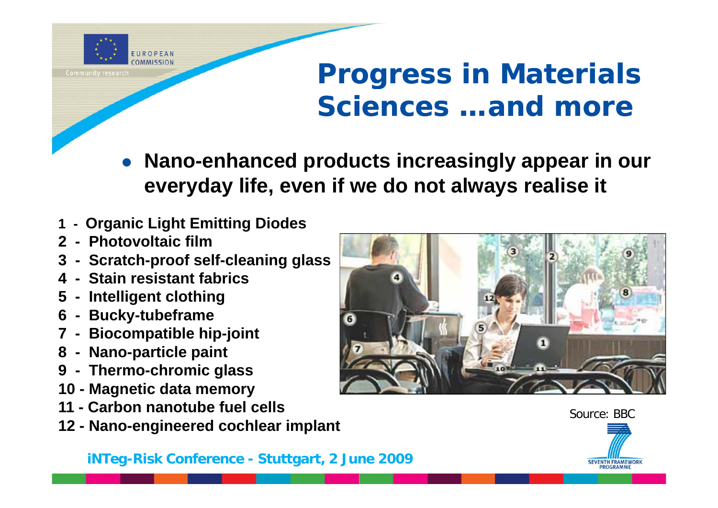

# **Progress in Materials Sciences …and more**

- $\bullet$  **Nano-enhanced products increasingly appear in our ever yda y life, even if we do not alwa ys realise it yy y**
- **1 - Organic Light Emitting Diodes**
- **2 - Photovoltaic film**
- **3 - Scratch-proof sel f-cleaning glass**
- **4 - Stain resistant fabrics**
- **5 - Intelligent clothing**
- **6** Bucky-tubeframe
- **7 - Biocompatible hip-joint**
- **8 - Nano-particle paint**
- **9 - Thermo -chromic glass chromic**
- **10 - Magnetic data memory**
- **11 - Carbon nanotube fuel cells**
- **12 - Nano -engineered cochlear implant**



Source: BBC

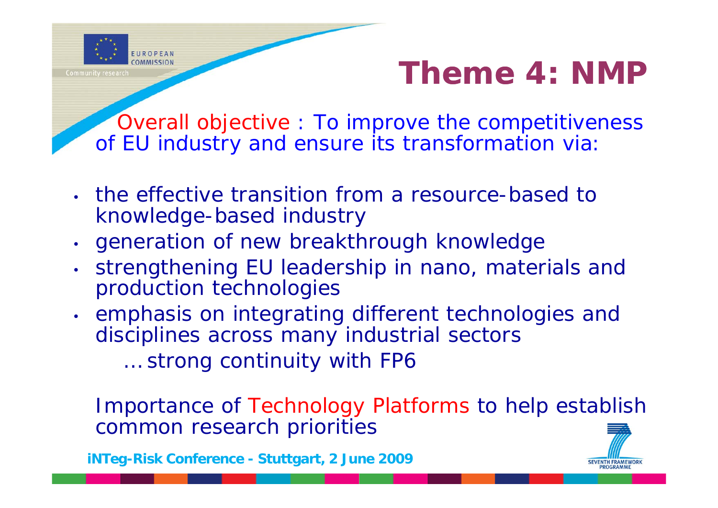

**SEVENTH FRAMEWORK** 

*Overall objective : To improve the competitiveness*  of EU industry and ensure its transformation via

- the effective transition from a resource-based to knowledge-based industry
- •generation of new breakthrough knowledge
- • strengthening EU leadership in nano, materials and production technologies
- • emphasis on integrating different technologies and disciplines across many industrial sectors

*… stron g y continuit y with FP6*

Importance of Technology Platforms to help establish common research priorities

**iNTeg-Risk Conference - Stuttgart, 2 June 2009**

EUROPEAN

**Community research**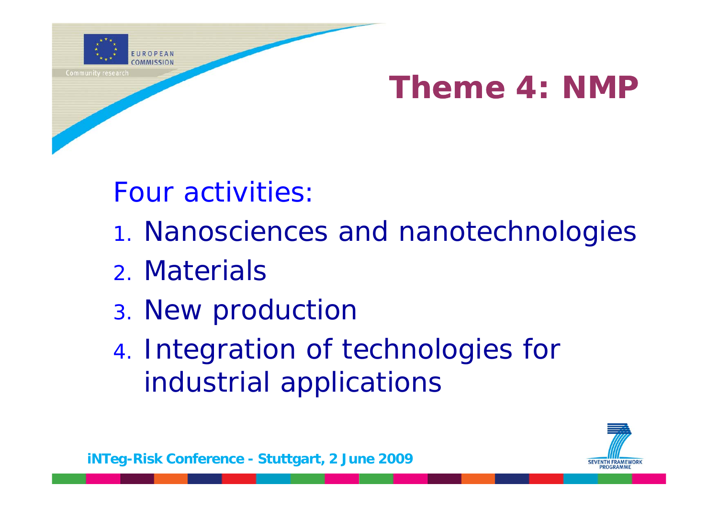

# **Theme 4: NMP**

Four activities:

- 1. Nanosciences and nanotechnologies
- 2. Materials
- 3. New production
- 4. Integration of technologies for industrial applications

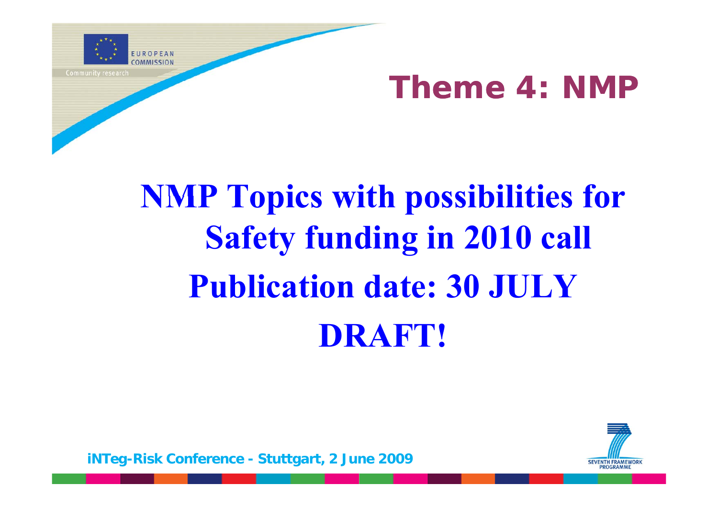

# **Theme 4: NMP**

# **NMP Topics with possibilities for Safety funding in 2010 call Publication date: 30 JULYDRAFT!**

**SEVENTH FRAMEWORK**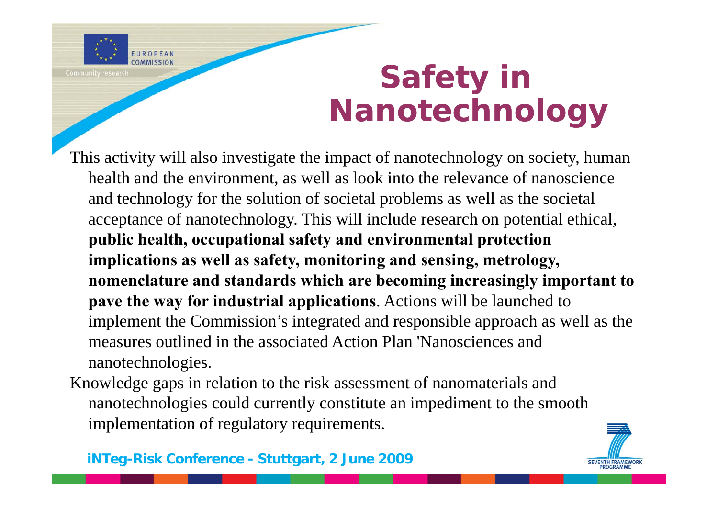

# **Safety in Nanotechnology**

- This activity will also investigate the impact of nanotechnology on society, human health and the environment, as well as look into the relevance of nanoscience and technology for the solution of societal problems as well as the societal acceptance of nanotechnology. This will include research on potential ethical, **public health, occupational safety and environmental protection implications as well as safety, monitoring and sensing, metrology, nomenclature and standards which are becoming increasingly important to pave the way for industrial applications**. Actions will be launched to implement the Commission's integrated and responsible approach as well as the measures outlined in the associated Action Plan 'Nanosciences and nanotechnologies.
- Knowledge gaps in relation to the risk assessment of nanomaterials and nanotechnologies could currently constitute an impediment to the smooth implementation of regulatory requirements.



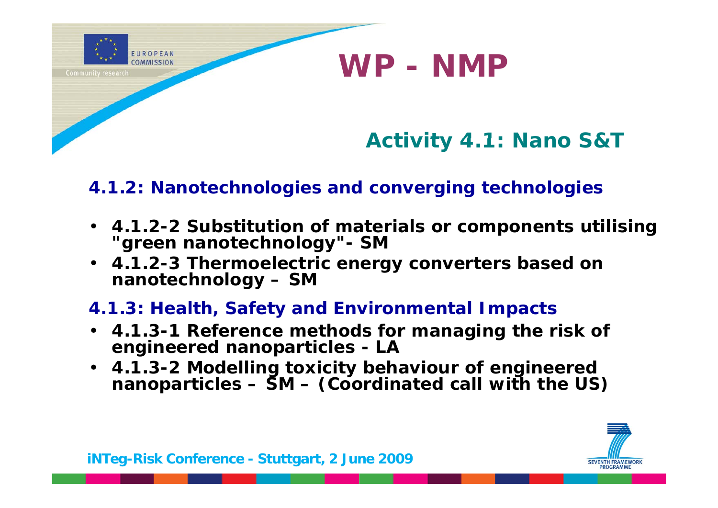

#### **4.1.2: Nanotechnologies and converging technologies**

- **4.1.2-2 Substitution of materials or components utilising "green nanotechnology"- SM**
- **4.1.2-3 Thermoelectric energy converters based on nanotechnology – SM**

#### **4.1.3: Health, Safety and Environmental Impacts**

- **4.1.3-1 Reference methods for managing the risk of engineered nanoparticles - LA**
- $\cdot$  4.1.3 **. . -2 Modelling toxicity behaviour of engineered nanoparticles – SM – (Coordinated call with the US)**

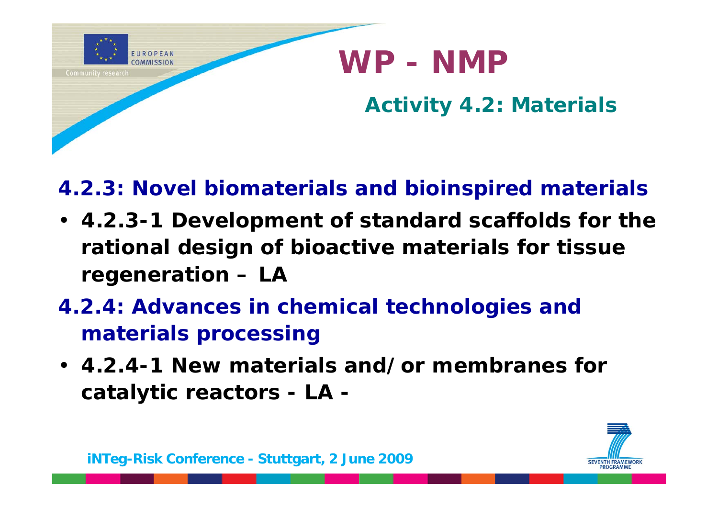

**4.2.3: Novel biomaterials and bioinspired materials**

- **4.2.3-1 Development of standard scaffolds for the rational design of bioactive materials for tissue regeneration – LA**
- **4.2.4: Advances in chemical technologies and materials processing**
- **4.2.4-1 New materials and/or membranes for catalytic reactors - LA -**

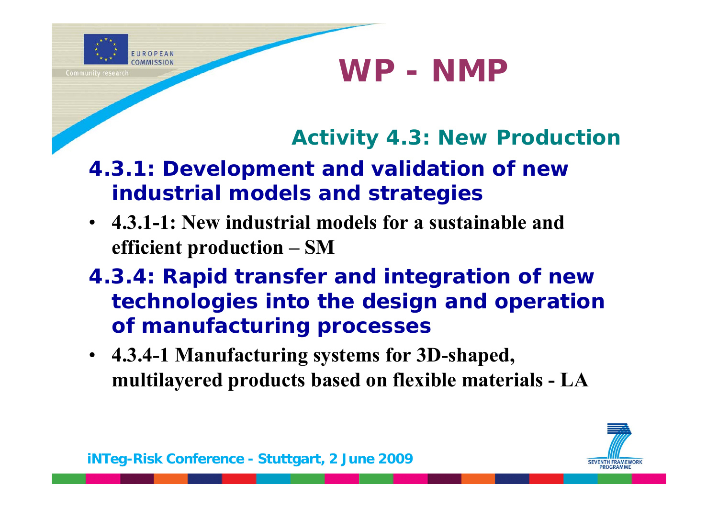

**Activity 4 3: New Production 4.3:** 

- **4.3.1: Development and validation of new industrial models and strategies**
- **4.3.1-1: New industrial models for a sustainable and efficient production – SM**
- **4.3.4: Rapid transfer and integration of new technologies into the design and operation of manufacturing processes**
- **4.3.4-1 Manufacturing systems for 3D-shaped, multilayered products based on flexible materials - LA**

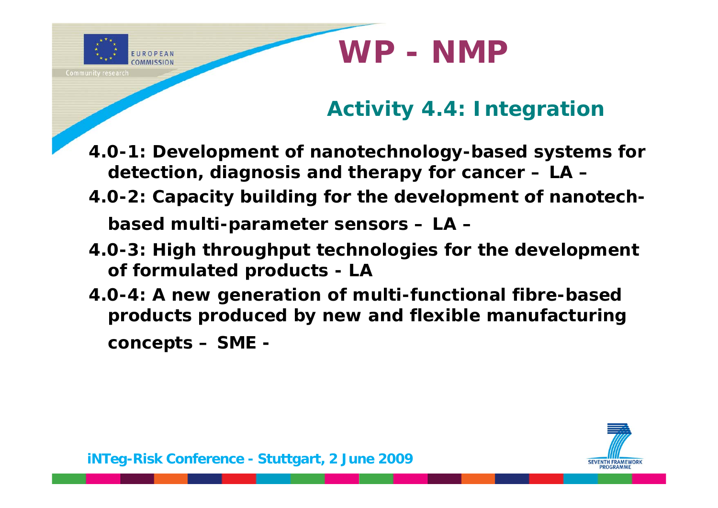

- **4.0-1: Development of nanotechnology-based systems for detection, diagnosis and therapy for cancer – LA –**
- **4 0. -2: Capacity building for the development of nanotech Capacity building nanotechbased multi-parameter sensors – LA –**
- **4.0-3: High throughput technologies for the development of formulated products - LA**
- **4.0-4: A new generation of multi-functional fibre-based**  products produced by new and flexible manufacturing **concepts – SME -**



EUROPEAN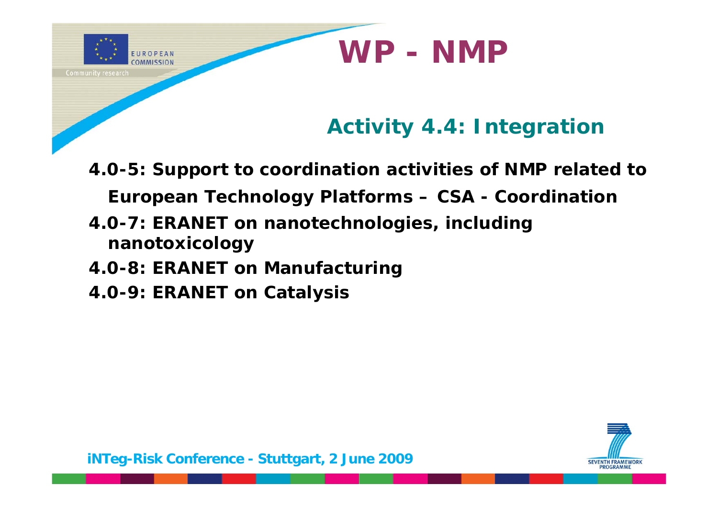

- **4.0-5: Support to coordination activities of NMP related to European Technology Platforms – CSA - Coordination**
- **4.0-7: ERANET on nanotechnologies, including nanotoxicology**
- **4.0-8: ERANET on Manufacturing**
- **4.0-9: ERANET on Catalysis**

EUROPEAN COMMISSION

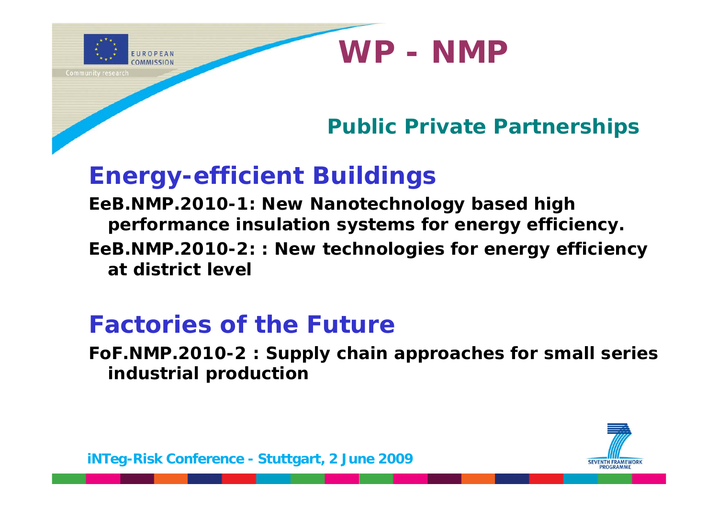**Public Private Partnerships**

**WP - NMP**

### **Energy-efficient Buildings**

EUROPEAN

**Community research** 

**EeB.NMP.2010-1: New Nanotechnology based high performance insulation systems for energy efficiency. EeB.NMP.2010-2: : New technologies for energy efficiency at district level**

## **Factories of the Future**

**FoF.NMP.2010-2 : Supply chain approaches for small series i d t i l d ti industrial production**

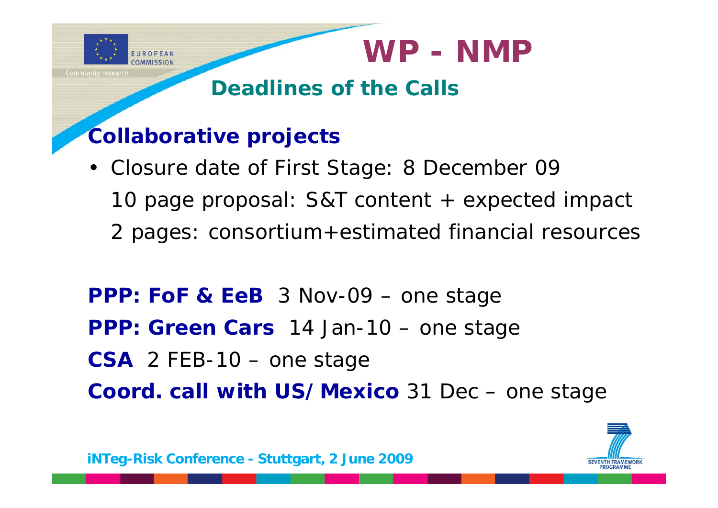

• Closure date of First Stage: 8 December 09 10 page proposal: S&T content + expected impact 2 pages: consortium+estimated financial resources

**PPP: FoF & EeB** 3 Nov-09 – one stage **PPP: Green Cars** 14 Jan-10 – one stage CSA 2 FEB-10 – one stage **Coord. call with US/Mexico** 31 Dec – one stage

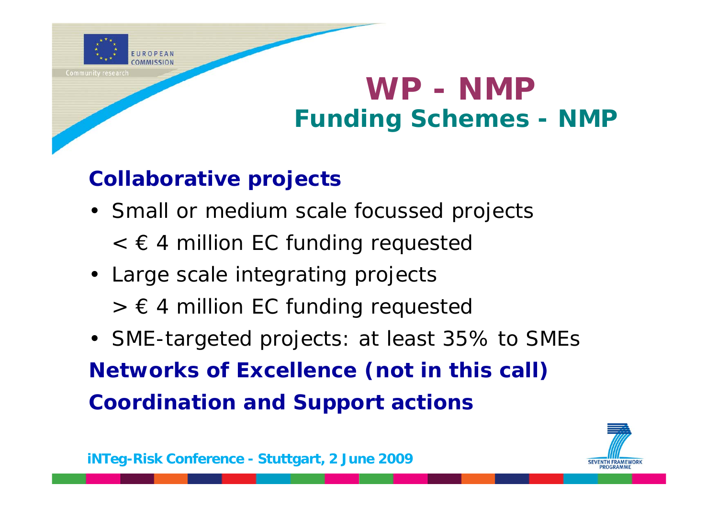

## **WP - NMF Funding Schemes - NMP**

#### **Collaborative projects**

- Small or medium scale focussed projects
	- $<$   $\epsilon$  4 million EC funding requested
- Large scale integrating projects
	- $> \epsilon$  4 million EC funding requested
- SME-targeted projects: at least 35% to SMEs **Networks of Excellence (not in this call) Coordination and Support actions**

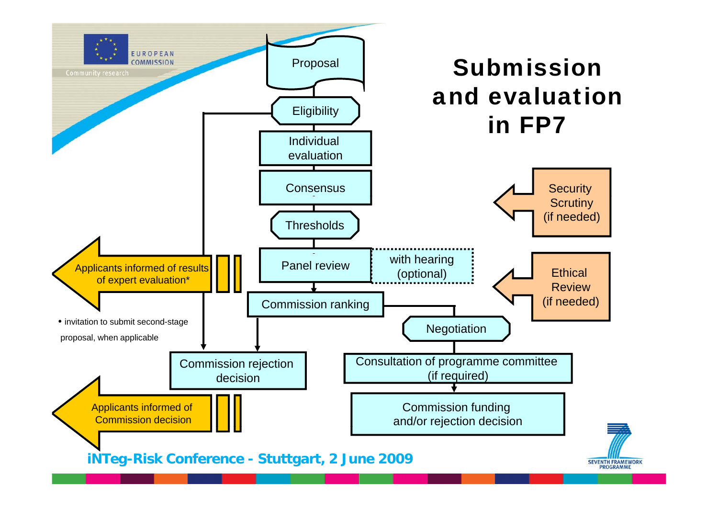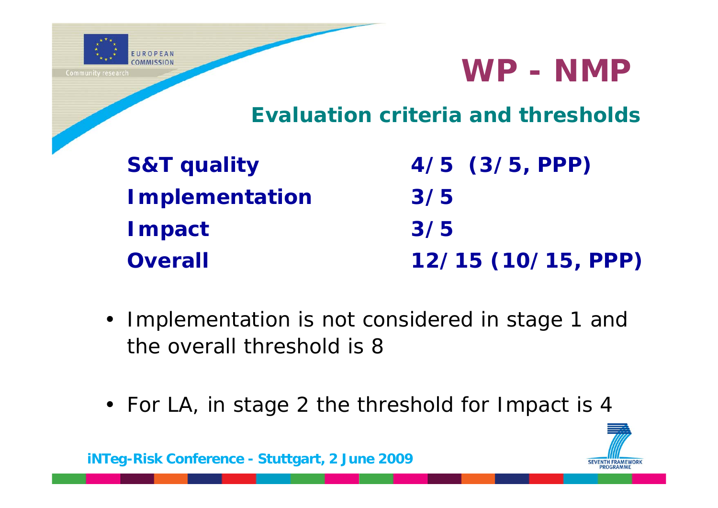

#### **Evaluation criteria and thresholds**

| <b>S&amp;T quality</b> | $4/5$ $(3/5, PPP)$ |
|------------------------|--------------------|
| <b>Implementation</b>  | 3/5                |
| <b>Impact</b>          | 3/5                |
| <b>Overall</b>         | 12/15 (10/15, PPP) |

- Implementation is not considered in stage 1 and the overall threshold is 8
- For LA, in stage 2 the threshold for Impact is 4